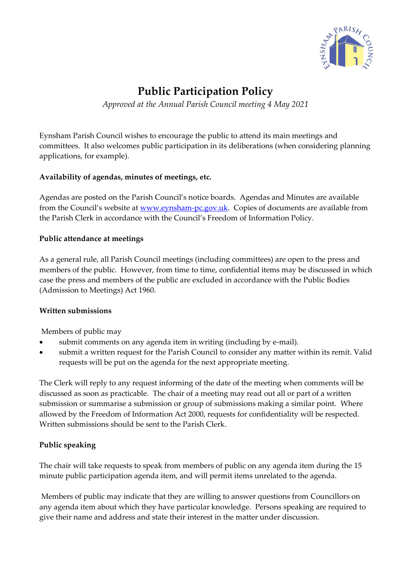

# **Public Participation Policy**

*Approved at the Annual Parish Council meeting 4 May 2021*

Eynsham Parish Council wishes to encourage the public to attend its main meetings and committees. It also welcomes public participation in its deliberations (when considering planning applications, for example).

#### **Availability of agendas, minutes of meetings, etc.**

Agendas are posted on the Parish Council's notice boards. Agendas and Minutes are available from the Council's website at [www.eynsham-pc.gov.uk.](http://www.eynsham-pc.gov.uk/) Copies of documents are available from the Parish Clerk in accordance with the Council's Freedom of Information Policy.

## **Public attendance at meetings**

As a general rule, all Parish Council meetings (including committees) are open to the press and members of the public. However, from time to time, confidential items may be discussed in which case the press and members of the public are excluded in accordance with the Public Bodies (Admission to Meetings) Act 1960.

#### **Written submissions**

Members of public may

- submit comments on any agenda item in writing (including by e-mail).
- submit a written request for the Parish Council to consider any matter within its remit. Valid requests will be put on the agenda for the next appropriate meeting.

The Clerk will reply to any request informing of the date of the meeting when comments will be discussed as soon as practicable. The chair of a meeting may read out all or part of a written submission or summarise a submission or group of submissions making a similar point. Where allowed by the Freedom of Information Act 2000, requests for confidentiality will be respected. Written submissions should be sent to the Parish Clerk.

#### **Public speaking**

The chair will take requests to speak from members of public on any agenda item during the 15 minute public participation agenda item, and will permit items unrelated to the agenda.

Members of public may indicate that they are willing to answer questions from Councillors on any agenda item about which they have particular knowledge. Persons speaking are required to give their name and address and state their interest in the matter under discussion.